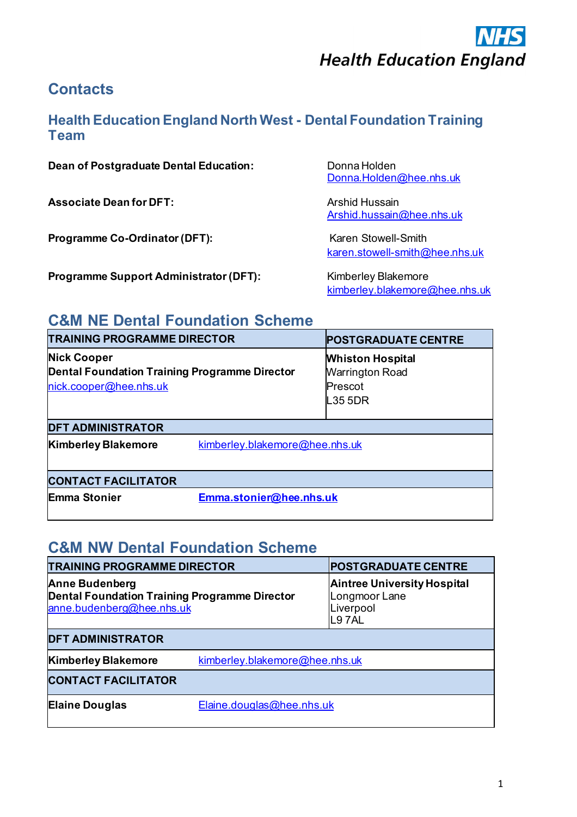

## **Contacts**

#### **Health Education England North West - Dental Foundation Training Team**

#### **Dean of Postgraduate Dental Education:** Donna Holden

**Associate Dean for DFT:** Arshid Hussain

**Programme Co-Ordinator (DFT):** Karen Stowell-Smith

**Programme Support Administrator (DFT):** Kimberley Blakemore

[Donna.Holden@hee.nhs.uk](mailto:Donna.Holden@hee.nhs.uk)

[Arshid.hussain@hee.nhs.uk](mailto:Arshid.hussain@hee.nhs.uk)

[karen.stowell-smith@hee.nhs.uk](mailto:karen.stowell-smith@hee.nhs.uk)

[kimberley.blakemore@hee.nhs.uk](mailto:kimberley.blakemore@hee.nhs.uk)

### **C&M NE Dental Foundation Scheme**

| <b>TRAINING PROGRAMME DIRECTOR</b>                                                                   |                                | <b>POSTGRADUATE CENTRE</b>                                              |
|------------------------------------------------------------------------------------------------------|--------------------------------|-------------------------------------------------------------------------|
| <b>Nick Cooper</b><br><b>Dental Foundation Training Programme Director</b><br>nick.cooper@hee.nhs.uk |                                | <b>Whiston Hospital</b><br><b>Warrington Road</b><br>Prescot<br>L35 5DR |
| <b>DFT ADMINISTRATOR</b>                                                                             |                                |                                                                         |
| <b>Kimberley Blakemore</b>                                                                           | kimberley.blakemore@hee.nhs.uk |                                                                         |
| <b>CONTACT FACILITATOR</b>                                                                           |                                |                                                                         |
| <b>Emma Stonier</b>                                                                                  | Emma.stonier@hee.nhs.uk        |                                                                         |

#### **C&M NW Dental Foundation Scheme**

| <b>TRAINING PROGRAMME DIRECTOR</b>                                                                         |                           | <b>POSTGRADUATE CENTRE</b>                                                       |
|------------------------------------------------------------------------------------------------------------|---------------------------|----------------------------------------------------------------------------------|
| <b>Anne Budenberg</b><br><b>Dental Foundation Training Programme Director</b><br>anne.budenberg@hee.nhs.uk |                           | <b>Aintree University Hospital</b><br>Longmoor Lane<br>Liverpool<br><b>L97AL</b> |
| <b>DFT ADMINISTRATOR</b>                                                                                   |                           |                                                                                  |
| <b>Kimberley Blakemore</b><br>kimberley.blakemore@hee.nhs.uk                                               |                           |                                                                                  |
| <b>CONTACT FACILITATOR</b>                                                                                 |                           |                                                                                  |
| <b>Elaine Douglas</b>                                                                                      | Elaine.douglas@hee.nhs.uk |                                                                                  |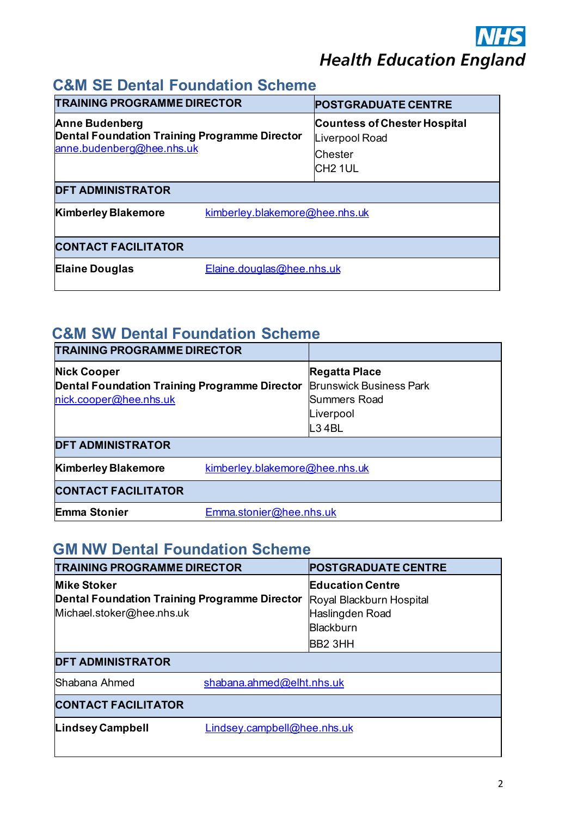## **C&M SE Dental Foundation Scheme**

| <b>TRAINING PROGRAMME DIRECTOR</b>                                                                  |                                | <b>POSTGRADUATE CENTRE</b>                                                                     |
|-----------------------------------------------------------------------------------------------------|--------------------------------|------------------------------------------------------------------------------------------------|
| <b>Anne Budenberg</b><br>Dental Foundation Training Programme Director<br>anne.budenberg@hee.nhs.uk |                                | <b>Countess of Chester Hospital</b><br>Liverpool Road<br><b>Chester</b><br>CH <sub>2</sub> 1UL |
| <b>DFT ADMINISTRATOR</b>                                                                            |                                |                                                                                                |
| <b>Kimberley Blakemore</b>                                                                          | kimberley.blakemore@hee.nhs.uk |                                                                                                |
| <b>CONTACT FACILITATOR</b>                                                                          |                                |                                                                                                |
| <b>Elaine Douglas</b>                                                                               | Elaine.douglas@hee.nhs.uk      |                                                                                                |

## **C&M SW Dental Foundation Scheme**

| <b>TRAINING PROGRAMME DIRECTOR</b>                                                                                        |                                |                                                                                              |
|---------------------------------------------------------------------------------------------------------------------------|--------------------------------|----------------------------------------------------------------------------------------------|
| <b>Nick Cooper</b><br>Dental Foundation Training Programme Director<br>nick.cooper@hee.nhs.uk<br><b>DFT ADMINISTRATOR</b> |                                | Regatta Place<br><b>Brunswick Business Park</b><br><b>Summers Road</b><br>Liverpool<br>L34BL |
| <b>Kimberley Blakemore</b>                                                                                                | kimberley.blakemore@hee.nhs.uk |                                                                                              |
| <b>CONTACT FACILITATOR</b>                                                                                                |                                |                                                                                              |
| <b>Emma Stonier</b>                                                                                                       | Emma.stonier@hee.nhs.uk        |                                                                                              |

### **GM NW Dental Foundation Scheme**

| <b>TRAINING PROGRAMME DIRECTOR</b>                                                               |                             | <b>POSTGRADUATE CENTRE</b>                                                                                        |  |
|--------------------------------------------------------------------------------------------------|-----------------------------|-------------------------------------------------------------------------------------------------------------------|--|
| <b>Mike Stoker</b><br>Dental Foundation Training Programme Director<br>Michael.stoker@hee.nhs.uk |                             | <b>Education Centre</b><br>Royal Blackburn Hospital<br>Haslingden Road<br><b>Blackburn</b><br>BB <sub>2</sub> 3HH |  |
| <b>DFT ADMINISTRATOR</b>                                                                         |                             |                                                                                                                   |  |
| Shabana Ahmed                                                                                    | shabana.ahmed@elht.nhs.uk   |                                                                                                                   |  |
| <b>CONTACT FACILITATOR</b>                                                                       |                             |                                                                                                                   |  |
| <b>Lindsey Campbell</b>                                                                          | Lindsey.campbell@hee.nhs.uk |                                                                                                                   |  |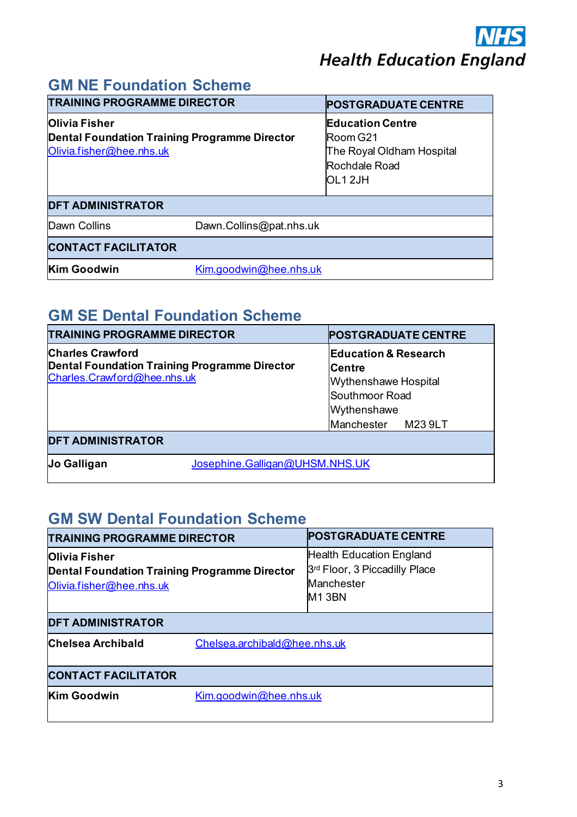## **GM NE Foundation Scheme**

| <b>TRAINING PROGRAMME DIRECTOR</b>                                                                                            |                         | <b>POSTGRADUATE CENTRE</b>                                                                  |
|-------------------------------------------------------------------------------------------------------------------------------|-------------------------|---------------------------------------------------------------------------------------------|
| <b>Olivia Fisher</b><br>Dental Foundation Training Programme Director<br>Olivia.fisher@hee.nhs.uk<br><b>DFT ADMINISTRATOR</b> |                         | <b>Education Centre</b><br>Room G21<br>The Royal Oldham Hospital<br>Rochdale Road<br>OL12JH |
| Dawn Collins                                                                                                                  | Dawn.Collins@pat.nhs.uk |                                                                                             |
| <b>CONTACT FACILITATOR</b>                                                                                                    |                         |                                                                                             |
| <b>Kim Goodwin</b>                                                                                                            | Kim.goodwin@hee.nhs.uk  |                                                                                             |

## **GM SE Dental Foundation Scheme**

| <b>TRAINING PROGRAMME DIRECTOR</b>                                                                      | <b>POSTGRADUATE CENTRE</b>                                                                                                             |  |
|---------------------------------------------------------------------------------------------------------|----------------------------------------------------------------------------------------------------------------------------------------|--|
| <b>Charles Crawford</b><br>Dental Foundation Training Programme Director<br>Charles.Crawford@hee.nhs.uk | <b>Education &amp; Research</b><br><b>ICentre</b><br><b>Wythenshawe Hospital</b><br>Southmoor Road<br>Wythenshawe<br>Manchester M239LT |  |
| <b>DFT ADMINISTRATOR</b>                                                                                |                                                                                                                                        |  |
| Jo Galligan                                                                                             | Josephine.Galligan@UHSM.NHS.UK                                                                                                         |  |

# **GM SW Dental Foundation Scheme**

| <b>TRAINING PROGRAMME DIRECTOR</b>                                                                       |                              | <b>POSTGRADUATE CENTRE</b>                                                                                       |  |
|----------------------------------------------------------------------------------------------------------|------------------------------|------------------------------------------------------------------------------------------------------------------|--|
| <b>Olivia Fisher</b><br><b>Dental Foundation Training Programme Director</b><br>Olivia.fisher@hee.nhs.uk |                              | <b>Health Education England</b><br>3 <sup>rd</sup> Floor, 3 Piccadilly Place<br>Manchester<br>M <sub>1</sub> 3BN |  |
| <b>DFT ADMINISTRATOR</b>                                                                                 |                              |                                                                                                                  |  |
| Chelsea Archibald                                                                                        | Chelsea.archibald@hee.nhs.uk |                                                                                                                  |  |
| <b>CONTACT FACILITATOR</b>                                                                               |                              |                                                                                                                  |  |
| <b>Kim Goodwin</b>                                                                                       | Kim.goodwin@hee.nhs.uk       |                                                                                                                  |  |